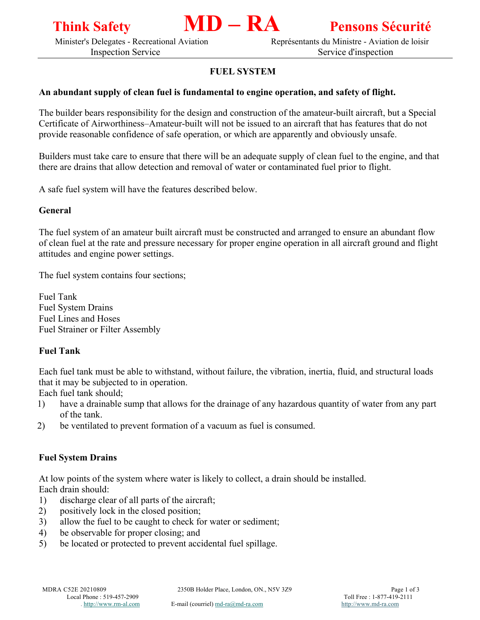

Minister's Delegates - Recreational Aviation Représentants du Ministre - Aviation de loisir

Inspection Service Service Service Service Service d'inspection

# **FUEL SYSTEM**

## **An abundant supply of clean fuel is fundamental to engine operation, and safety of flight.**

The builder bears responsibility for the design and construction of the amateur-built aircraft, but a Special Certificate of Airworthiness–Amateur-built will not be issued to an aircraft that has features that do not provide reasonable confidence of safe operation, or which are apparently and obviously unsafe.

Builders must take care to ensure that there will be an adequate supply of clean fuel to the engine, and that there are drains that allow detection and removal of water or contaminated fuel prior to flight.

A safe fuel system will have the features described below.

## **General**

The fuel system of an amateur built aircraft must be constructed and arranged to ensure an abundant flow of clean fuel at the rate and pressure necessary for proper engine operation in all aircraft ground and flight attitudes and engine power settings.

The fuel system contains four sections;

Fuel Tank Fuel System Drains Fuel Lines and Hoses Fuel Strainer or Filter Assembly

## **Fuel Tank**

Each fuel tank must be able to withstand, without failure, the vibration, inertia, fluid, and structural loads that it may be subjected to in operation.

Each fuel tank should;

- 1) have a drainable sump that allows for the drainage of any hazardous quantity of water from any part of the tank.
- 2) be ventilated to prevent formation of a vacuum as fuel is consumed.

## **Fuel System Drains**

At low points of the system where water is likely to collect, a drain should be installed. Each drain should:

- 1) discharge clear of all parts of the aircraft;
- 2) positively lock in the closed position;
- 3) allow the fuel to be caught to check for water or sediment;
- 4) be observable for proper closing; and
- 5) be located or protected to prevent accidental fuel spillage.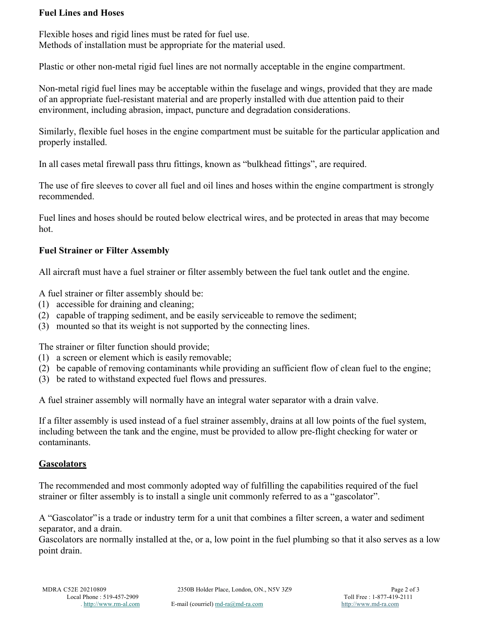## **Fuel Lines and Hoses**

Flexible hoses and rigid lines must be rated for fuel use. Methods of installation must be appropriate for the material used.

Plastic or other non-metal rigid fuel lines are not normally acceptable in the engine compartment.

Non-metal rigid fuel lines may be acceptable within the fuselage and wings, provided that they are made of an appropriate fuel-resistant material and are properly installed with due attention paid to their environment, including abrasion, impact, puncture and degradation considerations.

Similarly, flexible fuel hoses in the engine compartment must be suitable for the particular application and properly installed.

In all cases metal firewall pass thru fittings, known as "bulkhead fittings", are required.

The use of fire sleeves to cover all fuel and oil lines and hoses within the engine compartment is strongly recommended.

Fuel lines and hoses should be routed below electrical wires, and be protected in areas that may become hot.

## **Fuel Strainer or Filter Assembly**

All aircraft must have a fuel strainer or filter assembly between the fuel tank outlet and the engine.

A fuel strainer or filter assembly should be:

- (1) accessible for draining and cleaning;
- (2) capable of trapping sediment, and be easily serviceable to remove the sediment;
- (3) mounted so that its weight is not supported by the connecting lines.

The strainer or filter function should provide;

- (1) a screen or element which is easily removable;
- (2) be capable of removing contaminants while providing an sufficient flow of clean fuel to the engine;
- (3) be rated to withstand expected fuel flows and pressures.

A fuel strainer assembly will normally have an integral water separator with a drain valve.

If a filter assembly is used instead of a fuel strainer assembly, drains at all low points of the fuel system, including between the tank and the engine, must be provided to allow pre-flight checking for water or contaminants.

## **Gascolators**

The recommended and most commonly adopted way of fulfilling the capabilities required of the fuel strainer or filter assembly is to install a single unit commonly referred to as a "gascolator".

A "Gascolator" is a trade or industry term for a unit that combines a filter screen, a water and sediment separator, and a drain.

Gascolators are normally installed at the, or a, low point in the fuel plumbing so that it also serves as a low point drain.